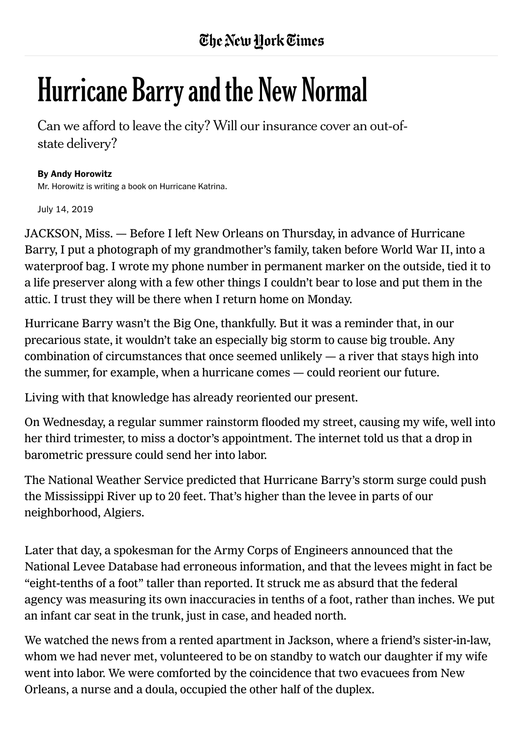## **Hurricane Barry and the New Normal**

Can we afford to leave the city? Will our insurance cover an out-ofstate delivery?

## By Andy Horowitz

Mr. Horowitz is writing a book on Hurricane Katrina.

July 14, 2019

JACKSON, Miss. — Before I left New Orleans on Thursday, in advance of Hurricane Barry, I put a photograph of my grandmother's family, taken before World War II, into a waterproof bag. I wrote my phone number in permanent marker on the outside, tied it to a life preserver along with a few other things I couldn't bear to lose and put them in the attic. I trust they will be there when I return home on Monday.

Hurricane Barry wasn't the Big One, thankfully. But it was a reminder that, in our precarious state, it wouldn't take an especially big storm to cause big trouble. Any combination of circumstances that once seemed unlikely  $-$  a river that stays high into the summer, for example, when a hurricane comes — could reorient our future.

Living with that knowledge has already reoriented our present.

On Wednesday, a regular summer rainstorm flooded my street, causing my wife, well into her third trimester, to miss a doctor's appointment. The internet told us that a drop in barometric pressure could send her into labor.

The National Weather Service predicted that Hurricane Barry's storm surge could push the Mississippi River up to 20 feet. That's higher than the levee in parts of our neighborhood, Algiers.

Later that day, a spokesman for the Army Corps of Engineers announced that the National Levee Database had erroneous information, and that the levees might in fact be "eight-tenths of a foot" taller than reported. It struck me as absurd that the federal agency was measuring its own inaccuracies in tenths of a foot, rather than inches. We put an infant car seat in the trunk, just in case, and headed north.

We watched the news from a rented apartment in Jackson, where a friend's sister-in-law, whom we had never met, volunteered to be on standby to watch our daughter if my wife went into labor. We were comforted by the coincidence that two evacuees from New Orleans, a nurse and a doula, occupied the other half of the duplex.